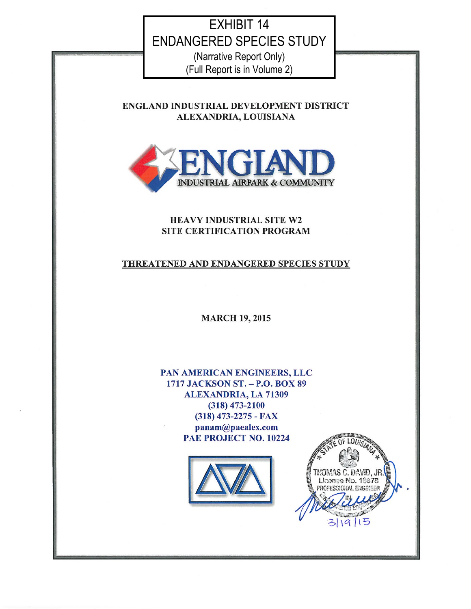# **EXHIBIT 14 ENDANGERED SPECIES STUDY**

(Narrative Report Only) (Full Report is in Volume 2)

ENGLAND INDUSTRIAL DEVELOPMENT DISTRICT ALEXANDRIA, LOUISIANA



## HEAVY INDUSTRIAL SITE W2 SITE CERTIFICATION PROGRAM

## THREATENED AND ENDANGERED SPECIES STUDY

**MARCH 19, 2015** 

PAN AMERICAN ENGINEERS, LLC 1717 JACKSON ST. - P.O. BOX 89 **ALEXANDRIA, LA 71309**  $(318)$  473-2100 (318) 473-2275 - FAX panam@paealex.com PAE PROJECT NO. 10224



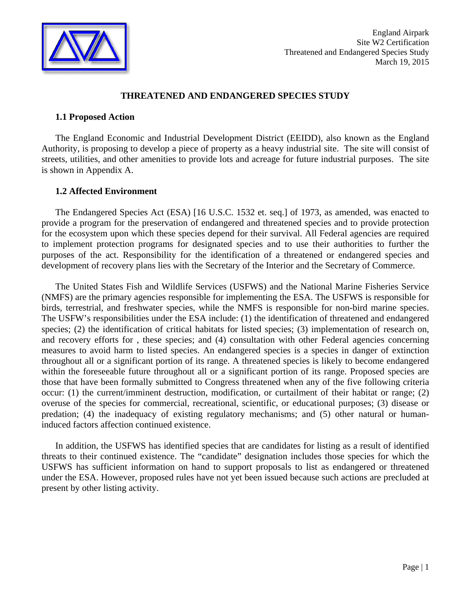

#### **THREATENED AND ENDANGERED SPECIES STUDY**

#### **1.1 Proposed Action**

The England Economic and Industrial Development District (EEIDD), also known as the England Authority, is proposing to develop a piece of property as a heavy industrial site. The site will consist of streets, utilities, and other amenities to provide lots and acreage for future industrial purposes. The site is shown in Appendix A.

#### **1.2 Affected Environment**

The Endangered Species Act (ESA) [16 U.S.C. 1532 et. seq.] of 1973, as amended, was enacted to provide a program for the preservation of endangered and threatened species and to provide protection for the ecosystem upon which these species depend for their survival. All Federal agencies are required to implement protection programs for designated species and to use their authorities to further the purposes of the act. Responsibility for the identification of a threatened or endangered species and development of recovery plans lies with the Secretary of the Interior and the Secretary of Commerce.

The United States Fish and Wildlife Services (USFWS) and the National Marine Fisheries Service (NMFS) are the primary agencies responsible for implementing the ESA. The USFWS is responsible for birds, terrestrial, and freshwater species, while the NMFS is responsible for non-bird marine species. The USFW's responsibilities under the ESA include: (1) the identification of threatened and endangered species; (2) the identification of critical habitats for listed species; (3) implementation of research on, and recovery efforts for , these species; and (4) consultation with other Federal agencies concerning measures to avoid harm to listed species. An endangered species is a species in danger of extinction throughout all or a significant portion of its range. A threatened species is likely to become endangered within the foreseeable future throughout all or a significant portion of its range. Proposed species are those that have been formally submitted to Congress threatened when any of the five following criteria occur: (1) the current/imminent destruction, modification, or curtailment of their habitat or range; (2) overuse of the species for commercial, recreational, scientific, or educational purposes; (3) disease or predation; (4) the inadequacy of existing regulatory mechanisms; and (5) other natural or humaninduced factors affection continued existence.

In addition, the USFWS has identified species that are candidates for listing as a result of identified threats to their continued existence. The "candidate" designation includes those species for which the USFWS has sufficient information on hand to support proposals to list as endangered or threatened under the ESA. However, proposed rules have not yet been issued because such actions are precluded at present by other listing activity.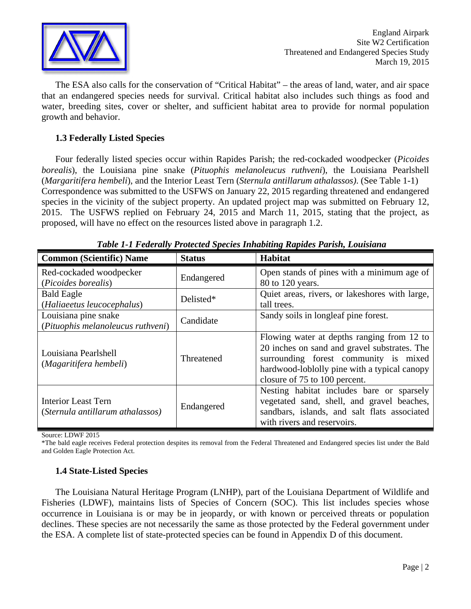

The ESA also calls for the conservation of "Critical Habitat" – the areas of land, water, and air space that an endangered species needs for survival. Critical habitat also includes such things as food and water, breeding sites, cover or shelter, and sufficient habitat area to provide for normal population growth and behavior.

## **1.3 Federally Listed Species**

Four federally listed species occur within Rapides Parish; the red-cockaded woodpecker (*Picoides borealis*), the Louisiana pine snake (*Pituophis melanoleucus ruthveni*), the Louisiana Pearlshell (*Margaritifera hembeli*), and the Interior Least Tern (*Sternula antillarum athalassos)*. (See Table 1-1) Correspondence was submitted to the USFWS on January 22, 2015 regarding threatened and endangered species in the vicinity of the subject property. An updated project map was submitted on February 12, 2015. The USFWS replied on February 24, 2015 and March 11, 2015, stating that the project, as proposed, will have no effect on the resources listed above in paragraph 1.2.

| <b>Common (Scientific) Name</b>                                | <b>Status</b> | Habitat                                                                                                                                                                                                              |
|----------------------------------------------------------------|---------------|----------------------------------------------------------------------------------------------------------------------------------------------------------------------------------------------------------------------|
| Red-cockaded woodpecker<br>(Picoides borealis)                 | Endangered    | Open stands of pines with a minimum age of<br>80 to 120 years.                                                                                                                                                       |
| <b>Bald Eagle</b><br>(Haliaeetus leucocephalus)                | Delisted*     | Quiet areas, rivers, or lakeshores with large,<br>tall trees.                                                                                                                                                        |
| Louisiana pine snake<br>(Pituophis melanoleucus ruthveni)      | Candidate     | Sandy soils in longleaf pine forest.                                                                                                                                                                                 |
| Louisiana Pearlshell<br>(Magaritifera hembeli)                 | Threatened    | Flowing water at depths ranging from 12 to<br>20 inches on sand and gravel substrates. The<br>surrounding forest community is mixed<br>hardwood-loblolly pine with a typical canopy<br>closure of 75 to 100 percent. |
| <b>Interior Least Tern</b><br>(Sternula antillarum athalassos) | Endangered    | Nesting habitat includes bare or sparsely<br>vegetated sand, shell, and gravel beaches,<br>sandbars, islands, and salt flats associated<br>with rivers and reservoirs.                                               |

*Table 1-1 Federally Protected Species Inhabiting Rapides Parish, Louisiana* 

Source: LDWF 2015

\*The bald eagle receives Federal protection despites its removal from the Federal Threatened and Endangered species list under the Bald and Golden Eagle Protection Act.

## **1.4 State-Listed Species**

The Louisiana Natural Heritage Program (LNHP), part of the Louisiana Department of Wildlife and Fisheries (LDWF), maintains lists of Species of Concern (SOC). This list includes species whose occurrence in Louisiana is or may be in jeopardy, or with known or perceived threats or population declines. These species are not necessarily the same as those protected by the Federal government under the ESA. A complete list of state-protected species can be found in Appendix D of this document.